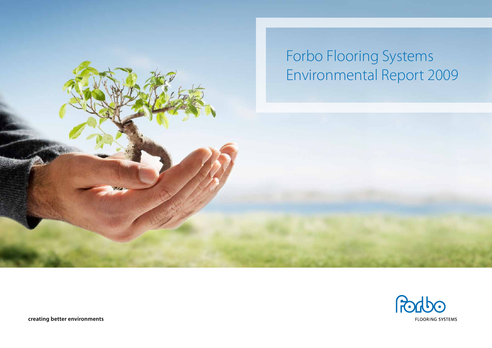



**creating better environments**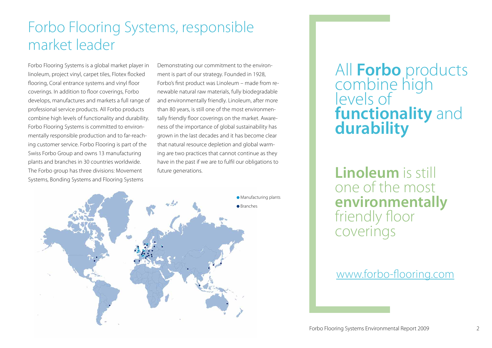# Forbo Flooring Systems, responsible market leader

Forbo Flooring Systems is a global market player in linoleum, project vinyl, carpet tiles, Flotex flocked flooring, Coral entrance systems and vinyl floor coverings. In addition to floor coverings, Forbo develops, manufactures and markets a full range of professional service products. All Forbo products combine high levels of functionality and durability. Forbo Flooring Systems is committed to environmentally responsible production and to far-reaching customer service. Forbo Flooring is part of the Swiss Forbo Group and owns 13 manufacturing plants and branches in 30 countries worldwide. The Forbo group has three divisions: Movement Systems, Bonding Systems and Flooring Systems

Demonstrating our commitment to the environment is part of our strategy. Founded in 1928, Forbo's first product was Linoleum – made from renewable natural raw materials, fully biodegradable and environmentally friendly. Linoleum, after more than 80 years, is still one of the most environmentally friendly floor coverings on the market. Awareness of the importance of global sustainability has grown in the last decades and it has become clear that natural resource depletion and global warming are two practices that cannot continue as they have in the past if we are to fulfil our obligations to future generations.



# All **Forbo** products combine high levels of **functionality** and **durability**

**Linoleum** is still one of the most **environmentally** friendly floor coverings

## www.forbo-flooring.com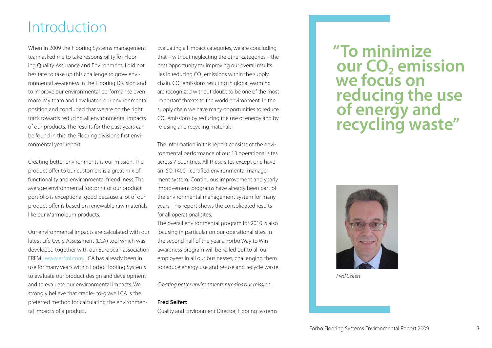# Introduction

When in 2009 the Flooring Systems management team asked me to take responsibility for Flooring Quality Assurance and Environment, I did not hesitate to take up this challenge to grow environmental awareness in the Flooring Division and to improve our environmental performance even more. My team and I evaluated our environmental position and concluded that we are on the right track towards reducing all environmental impacts of our products. The results for the past years can be found in this, the Flooring division's first environmental year report.

Creating better environments is our mission. The product offer to our customers is a great mix of functionality and environmental friendliness. The average environmental footprint of our product portfolio is exceptional good because a lot of our product offer is based on renewable raw materials, like our Marmoleum products.

Our environmental impacts are calculated with our latest Life Cycle Assessment (LCA) tool which was developed together with our European association ERFMI, www.erfmi.com. LCA has already been in use for many years within Forbo Flooring Systems to evaluate our product design and development and to evaluate our environmental impacts. We strongly believe that cradle- to-grave LCA is the preferred method for calculating the environmental impacts of a product.

Evaluating all impact categories, we are concluding that – without neglecting the other categories – the best opportunity for improving our overall results lies in reducing CO $_{_2}$  emissions within the supply chain. CO $_{\tiny 2}$  emissions resulting in global warming are recognized without doubt to be one of the most important threats to the world environment. In the supply chain we have many opportunities to reduce CO<sub>2</sub> emissions by reducing the use of energy and by re-using and recycling materials.

The information in this report consists of the environmental performance of our 13 operational sites across 7 countries. All these sites except one have an ISO 14001 certified environmental management system. Continuous improvement and yearly improvement programs have already been part of the environmental management system for many years. This report shows the consolidated results for all operational sites.

The overall environmental program for 2010 is also focusing in particular on our operational sites. In the second half of the year a Forbo Way to Win awareness program will be rolled out to all our employees in all our businesses, challenging them to reduce energy use and re-use and recycle waste.

*Creating better environments remains our mission.* 

### **Fred Seifert**

Quality and Environment Director, Flooring Systems

## **"To minimize our CO<sub>2</sub> emission we focus on reducing the use of energy and recycling waste"**



*Fred Seifert*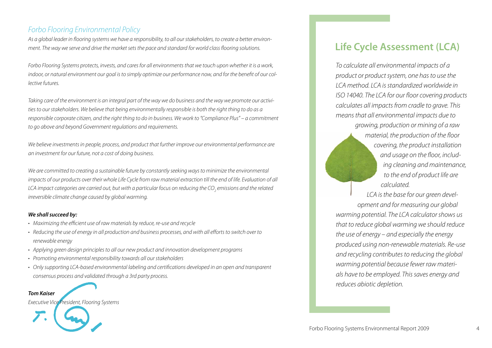### *Forbo Flooring Environmental Policy*

*As a global leader in flooring systems we have a responsibility, to all our stakeholders, to create a better environment. The way we serve and drive the market sets the pace and standard for world class flooring solutions.* 

*Forbo Flooring Systems protects, invests, and cares for all environments that we touch upon whether it is a work, indoor, or natural environment our goal is to simply optimize our performance now, and for the benefit of our collective futures.* 

*Taking care of the environment is an integral part of the way we do business and the way we promote our activities to our stakeholders. We believe that being environmentally responsible is both the right thing to do as a*  responsible corporate citizen, and the right thing to do in business. We work to "Compliance Plus" – a commitment *to go above and beyond Government regulations and requirements.* 

*We believe investments in people, process, and product that further improve our environmental performance are an investment for our future, not a cost of doing business.* 

*We are committed to creating a sustainable future by constantly seeking ways to minimize the environmental impacts of our products over their whole Life Cycle from raw material extraction till the end of life. Evaluation of all* LCA impact categories are carried out, but with a particular focus on reducing the CO<sub>2</sub> emissions and the related *irreversible climate change caused by global warming.* 

### *We shall succeed by:*

*Tom Kaiser* 

- *• Maximizing the efficient use of raw materials by reduce, re-use and recycle*
- *• Reducing the use of energy in all production and business processes, and with all efforts to switch over to renewable energy*
- *• Applying green design principles to all our new product and innovation development programs*
- *• Promoting environmental responsibility towards all our stakeholders*
- *• Only supporting LCA-based environmental labeling and certifications developed in an open and transparent consensus process and validated through a 3rd party process.*

*Executive Vice President, Flooring Systems*

## **Life Cycle Assessment (LCA)**

*To calculate all environmental impacts of a product or product system, one has to use the LCA method. LCA is standardized worldwide in ISO 14040. The LCA for our floor covering products calculates all impacts from cradle to grave. This means that all environmental impacts due to growing, production or mining of a raw* 

> *material, the production of the floor covering, the product installation and usage on the floor, including cleaning and maintenance, to the end of product life are calculated.*

*LCA is the base for our green development and for measuring our global warming potential. The LCA calculator shows us that to reduce global warming we should reduce the use of energy – and especially the energy produced using non-renewable materials. Re-use and recycling contributes to reducing the global warming potential because fewer raw materials have to be employed. This saves energy and reduces abiotic depletion.*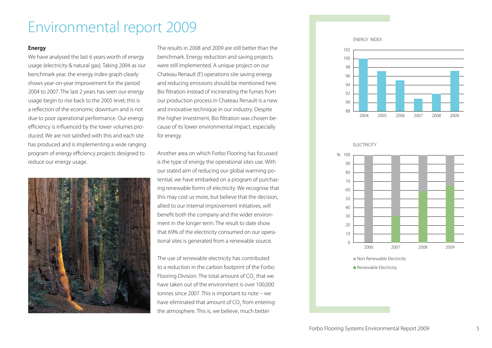# Environmental report 2009

### **Energy**

We have analysed the last 6 years worth of energy usage (electricity & natural gas). Taking 2004 as our benchmark year, the energy index graph clearly shows year-on-year improvement for the period 2004 to 2007. The last 2 years has seen our energy usage begin to rise back to the 2005 level; this is a reflection of the economic downturn and is not due to poor operational performance. Our energy efficiency is influenced by the lower volumes produced. We are not satisfied with this and each site has produced and is implementing a wide ranging program of energy efficiency projects designed to reduce our energy usage.



The results in 2008 and 2009 are still better than the benchmark. Energy reduction and saving projects were still implemented. A unique project on our Chateau Renault (F) operations site saving energy and reducing emissions should be mentioned here. Bio filtration instead of incinerating the fumes from our production process in Chateau Renault is a new and innovative technique in our industry. Despite the higher investment, Bio filtration was chosen because of its lower environmental impact, especially for energy.

Another area on which Forbo Flooring has focussed is the type of energy the operational sites use. With our stated aim of reducing our global warming potential, we have embarked on a program of purchasing renewable forms of electricity. We recognise that this may cost us more, but believe that the decision, allied to our internal improvement initiatives, will benefit both the company and the wider environment in the longer term. The result to date show that 69% of the electricity consumed on our operational sites is generated from a renewable source.

The use of renewable electricity has contributed to a reduction in the carbon footprint of the Forbo Flooring Division. The total amount of CO<sub>2</sub> that we have taken out of the environment is over 100,000 tonnes since 2007. This is important to note – we have eliminated that amount of CO<sub>2</sub> from entering the atmosphere. This is, we believe, much better

ENERGY INDEX



**ELECTRICITY** 



Non Renewable Electricity

**Renewable Electricity**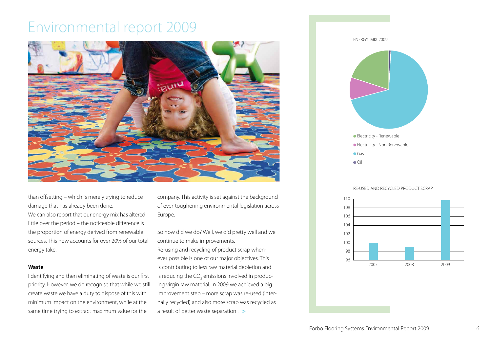# Environmental report 2009



than offsetting – which is merely trying to reduce damage that has already been done. We can also report that our energy mix has altered little over the period – the noticeable difference is the proportion of energy derived from renewable sources. This now accounts for over 20% of our total energy take.

#### **Waste**

IIdentifying and then eliminating of waste is our first priority. However, we do recognise that while we still create waste we have a duty to dispose of this with minimum impact on the environment, while at the same time trying to extract maximum value for the

company. This activity is set against the background of ever-toughening environmental legislation across Europe.

So how did we do? Well, we did pretty well and we continue to make improvements. Re-using and recycling of product scrap whenever possible is one of our major objectives. This is contributing to less raw material depletion and is reducing the CO<sub>2</sub> emissions involved in producing virgin raw material. In 2009 we achieved a big improvement step – more scrap was re-used (internally recycled) and also more scrap was recycled as a result of better waste separation  $\geq$ 



#### RE-USED AND RECYCLED PRODUCT SCRAP

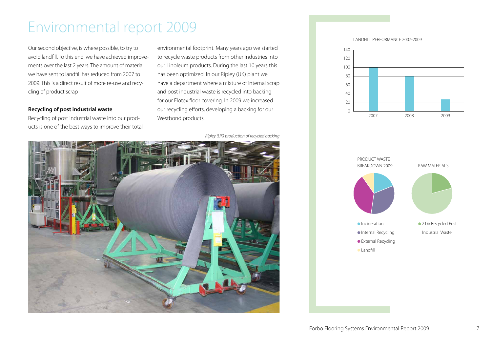# Environmental report 2009

Our second objective, is where possible, to try to avoid landfill. To this end, we have achieved improvements over the last 2 years. The amount of material we have sent to landfill has reduced from 2007 to 2009. This is a direct result of more re-use and recycling of product scrap

### **Recycling of post industrial waste**

Recycling of post industrial waste into our products is one of the best ways to improve their total environmental footprint. Many years ago we started to recycle waste products from other industries into our Linoleum products. During the last 10 years this has been optimized. In our Ripley (UK) plant we have a department where a mixture of internal scrap and post industrial waste is recycled into backing for our Flotex floor covering. In 2009 we increased our recycling efforts, developing a backing for our Westbond products.

*Ripley (UK) production of recycled backing*



LANDFILL PERFORMANCE 2007-2009



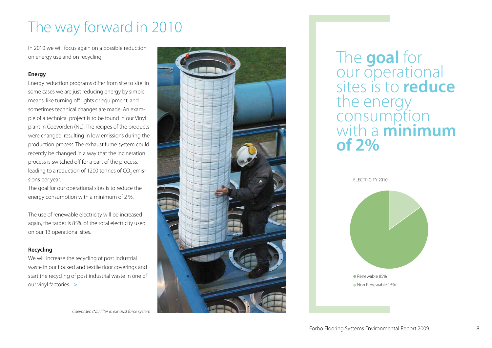# The way forward in 2010

In 2010 we will focus again on a possible reduction on energy use and on recycling.

### **Energy**

Energy reduction programs differ from site to site. In some cases we are just reducing energy by simple means, like turning off lights or equipment, and sometimes technical changes are made. An example of a technical project is to be found in our Vinyl plant in Coevorden (NL). The recipes of the products were changed, resulting in low emissions during the production process. The exhaust fume system could recently be changed in a way that the incineration process is switched off for a part of the process, leading to a reduction of 1200 tonnes of CO<sub>2</sub> emissions per year.

The goal for our operational sites is to reduce the energy consumption with a minimum of 2 %.

The use of renewable electricity will be increased again, the target is 85% of the total electricity used on our 13 operational sites.

### **Recycling**

We will increase the recycling of post industrial waste in our flocked and textile floor coverings and start the recycling of post industrial waste in one of our vinyl factories. >

*Coevorden (NL) filter in exhaust fume system*



The **goal** for our operational sites is to **reduce** the energy consumption with a **minimum of 2%**